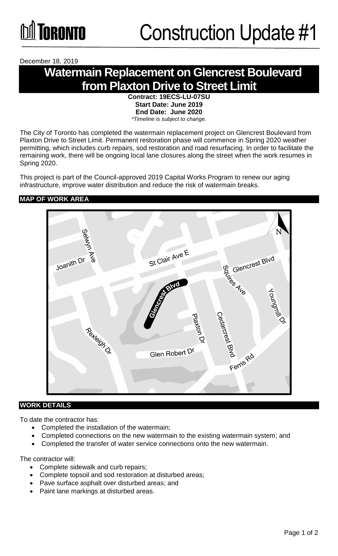December 18, 2019

# **Watermain Replacement on Glencrest Boulevard from Plaxton Drive to Street Limit**

**Contract: 19ECS-LU-07SU Start Date: June 2019 End Date: June 2020**  *\*Timeline is subject to change.*

The City of Toronto has completed the watermain replacement project on Glencrest Boulevard from Plaxton Drive to Street Limit. Permanent restoration phase will commence in Spring 2020 weather permitting, which includes curb repairs, sod restoration and road resurfacing. In order to facilitate the remaining work, there will be ongoing local lane closures along the street when the work resumes in Spring 2020.

This project is part of the Council-approved 2019 Capital Works Program to renew our aging infrastructure, improve water distribution and reduce the risk of watermain breaks.

## **MAP OF WORK AREA**



#### **WORK DETAILS**

To date the contractor has:

- Completed the installation of the watermain;
- Completed connections on the new watermain to the existing watermain system; and
- Completed the transfer of water service connections onto the new watermain.

The contractor will:

- Complete sidewalk and curb repairs;
- Complete topsoil and sod restoration at disturbed areas;
- Pave surface asphalt over disturbed areas; and
- Paint lane markings at disturbed areas.